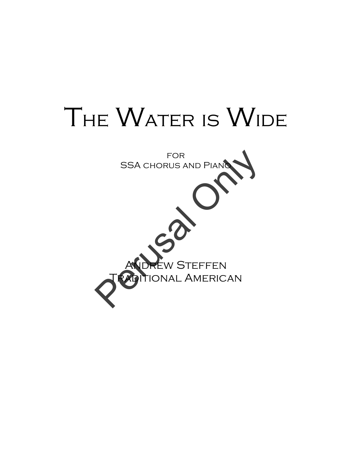## THE WATER IS WIDE

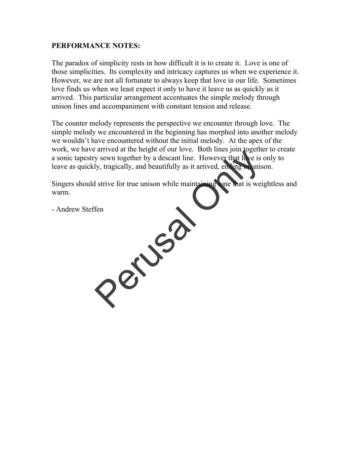## **PERFORMANCE NOTES:**

The paradox of simplicity rests in how difficult it is to create it. Love is one of those simplicities. Its complexity and intricacy captures us when we experience it. However, we are not all fortunate to always keep that love in our life. Sometimes love finds us when we least expect it only to have it leave us as quickly as it arrived. This particular arrangement accentuates the simple melody through unison lines and accompaniment with constant tension and release.

The counter melody represents the perspective we encounter through love. The simple melody we encountered in the beginning has morphed into another melody we wouldn't have encountered without the initial melody. At the apex of the work, we have arrived at the height of our love. Both lines join together to create a sonic tapestry sewn together by a descant line. However that love is only to leave as quickly, tragically, and beautifully as it arrived, ending in unison.

Singers should strive for true unison while maintaining tone that is weightless and warm.

- Andrew Steffen Perusal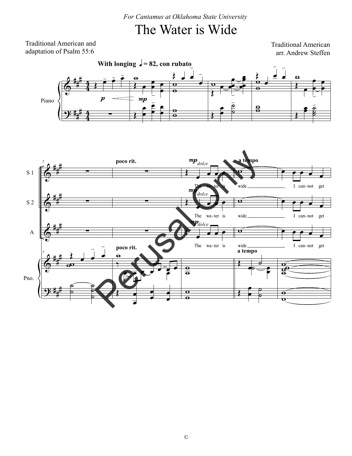*For Cantamus at Oklahoma State University*

## The Water is Wide

Traditional American and adaptation of Psalm 55:6

Traditional American arr. Andrew Steffen



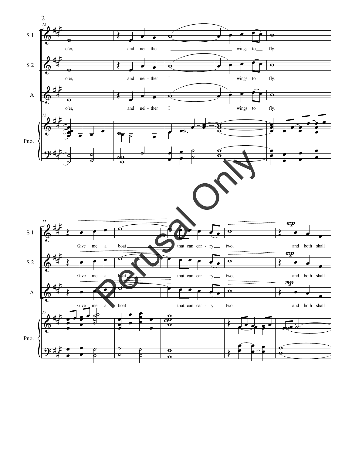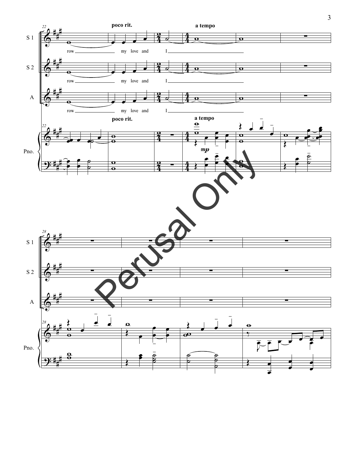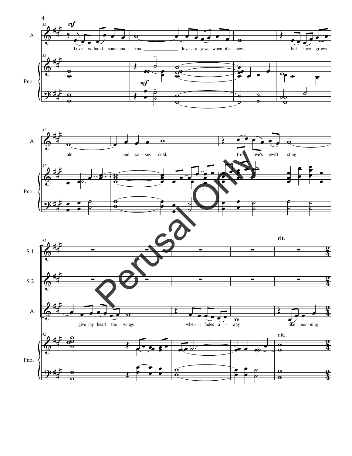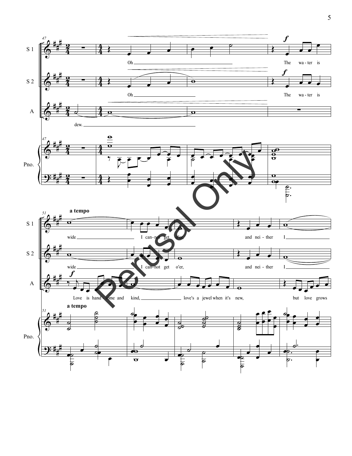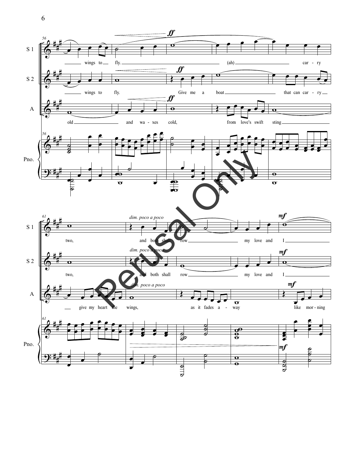

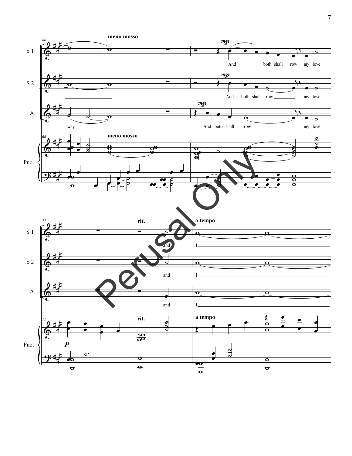